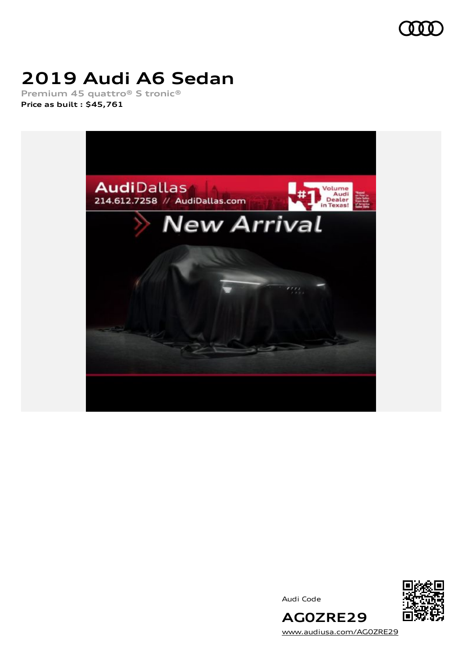

# **2019 Audi A6 Sedan**

**Premium 45 quattro® S tronic® Price as built [:](#page-9-0) \$45,761**



Audi Code



[www.audiusa.com/AG0ZRE29](https://www.audiusa.com/AG0ZRE29)

**AG0ZRE29**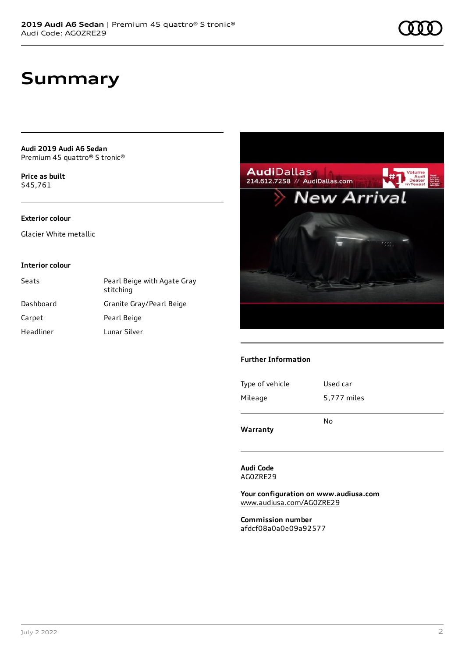**Audi 2019 Audi A6 Sedan** Premium 45 quattro® S tronic®

**Price as buil[t](#page-9-0)** \$45,761

#### **Exterior colour**

Glacier White metallic

#### **Interior colour**

| Seats     | Pearl Beige with Agate Gray<br>stitching |
|-----------|------------------------------------------|
| Dashboard | Granite Gray/Pearl Beige                 |
| Carpet    | Pearl Beige                              |
| Headliner | Lunar Silver                             |



#### **Further Information**

Type of vehicle Used car Mileage 5,777 miles

No

**Warranty**

**Audi Code** AG0ZRE29

**Your configuration on www.audiusa.com** [www.audiusa.com/AG0ZRE29](https://www.audiusa.com/AG0ZRE29)

**Commission number** afdcf08a0a0e09a92577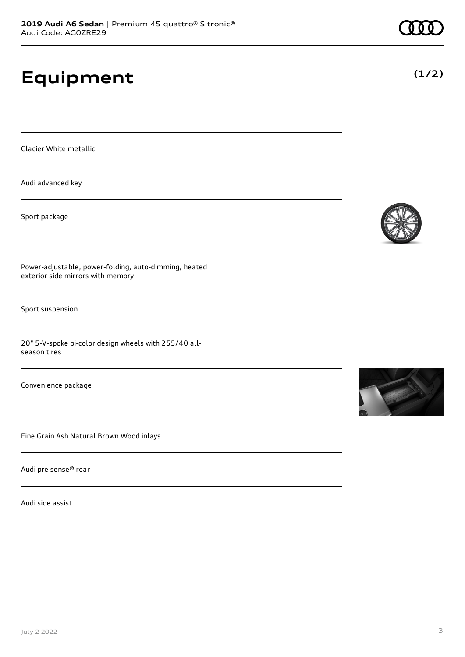# **Equipment**

Glacier White metallic

Audi advanced key

Sport package

Power-adjustable, power-folding, auto-dimming, heated exterior side mirrors with memory

Sport suspension

20" 5-V-spoke bi-color design wheels with 255/40 allseason tires

Convenience package

Fine Grain Ash Natural Brown Wood inlays

Audi pre sense® rear

Audi side assist





**(1/2)**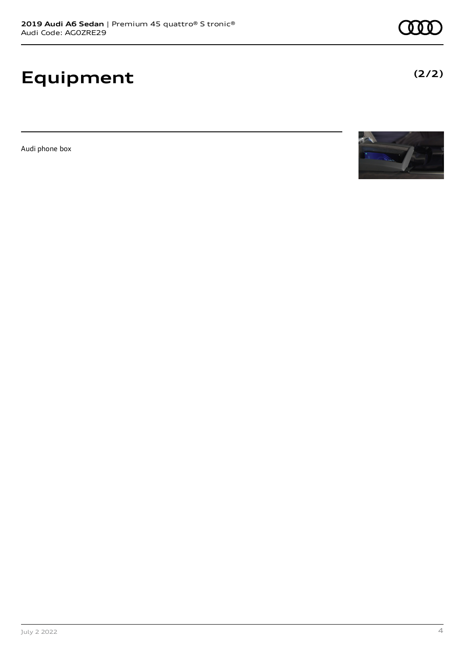# **Equipment**

Audi phone box



**(2/2)**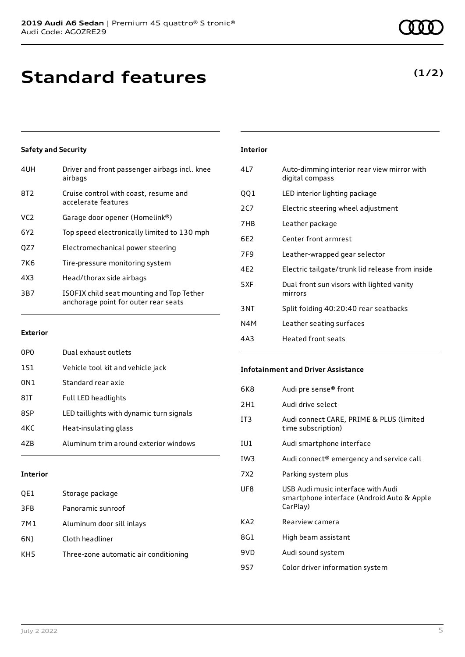## **Standard features**

#### **Safety and Security**

| 4UH             | Driver and front passenger airbags incl. knee<br>airbags                          |
|-----------------|-----------------------------------------------------------------------------------|
| 8T <sub>2</sub> | Cruise control with coast, resume and<br>accelerate features                      |
| VC <sub>2</sub> | Garage door opener (Homelink®)                                                    |
| 6Y2             | Top speed electronically limited to 130 mph                                       |
| QZ7             | Electromechanical power steering                                                  |
| 7K <sub>6</sub> | Tire-pressure monitoring system                                                   |
| 4X3             | Head/thorax side airbags                                                          |
| 3B7             | ISOFIX child seat mounting and Top Tether<br>anchorage point for outer rear seats |
|                 |                                                                                   |

#### **Exterior**

| 0P <sub>0</sub> | Dual exhaust outlets                     |
|-----------------|------------------------------------------|
| 151             | Vehicle tool kit and vehicle jack        |
| 0N1             | Standard rear axle                       |
| 8IT             | Full LED headlights                      |
| 8SP             | LED taillights with dynamic turn signals |
| 4KC             | Heat-insulating glass                    |
| 47R             | Aluminum trim around exterior windows    |
|                 |                                          |

#### **Interior**

| QE1 | Storage package                       |
|-----|---------------------------------------|
| 3FB | Panoramic sunroof                     |
| 7M1 | Aluminum door sill inlays             |
| 6N) | Cloth headliner                       |
| KH5 | Three-zone automatic air conditioning |

### **Interior** 4L7 Auto-dimming interior rear view mirror with digital compass QQ1 LED interior lighting package 2C7 Electric steering wheel adjustment 7HB Leather package 6E2 Center front armrest 7F9 Leather-wrapped gear selector 4E2 Electric tailgate/trunk lid release from inside 5XF Dual front sun visors with lighted vanity mirrors 3NT Split folding 40:20:40 rear seatbacks N4M Leather seating surfaces

4A3 Heated front seats

#### **Infotainment and Driver Assistance**

| 6K8             | Audi pre sense® front                                                                        |
|-----------------|----------------------------------------------------------------------------------------------|
| 2H1             | Audi drive select                                                                            |
| IT <sub>3</sub> | Audi connect CARE, PRIME & PLUS (limited<br>time subscription)                               |
| IU1             | Audi smartphone interface                                                                    |
| IW3             | Audi connect® emergency and service call                                                     |
| 7X2             | Parking system plus                                                                          |
| UF8             | USB Audi music interface with Audi<br>smartphone interface (Android Auto & Apple<br>CarPlay) |
| KA <sub>2</sub> | Rearview camera                                                                              |
| 8G1             | High beam assistant                                                                          |
| 9VD             | Audi sound system                                                                            |
| 9S7             | Color driver information system                                                              |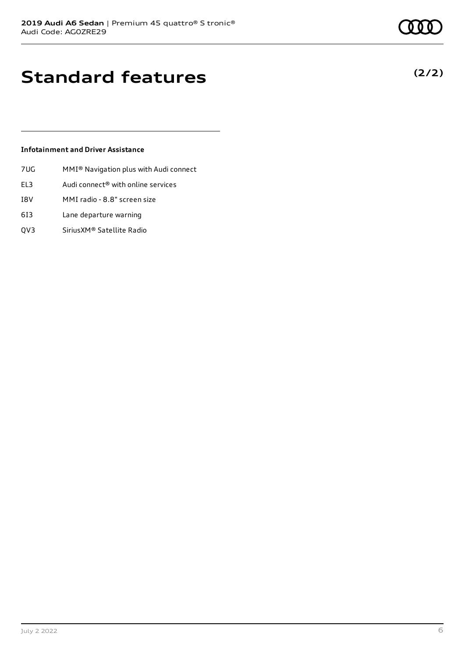**(2/2)**

## **Standard features**

#### **Infotainment and Driver Assistance**

- 7UG MMI® Navigation plus with Audi connect
- EL3 Audi connect® with online services
- I8V MMI radio 8.8" screen size
- 6I3 Lane departure warning
- QV3 SiriusXM® Satellite Radio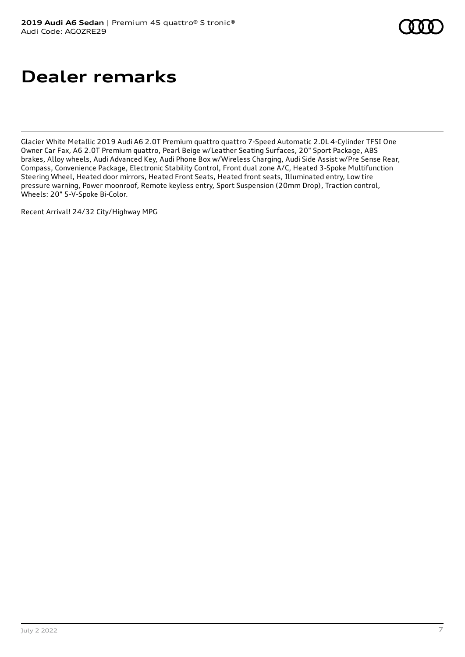## **Dealer remarks**

Glacier White Metallic 2019 Audi A6 2.0T Premium quattro quattro 7-Speed Automatic 2.0L 4-Cylinder TFSI One Owner Car Fax, A6 2.0T Premium quattro, Pearl Beige w/Leather Seating Surfaces, 20" Sport Package, ABS brakes, Alloy wheels, Audi Advanced Key, Audi Phone Box w/Wireless Charging, Audi Side Assist w/Pre Sense Rear, Compass, Convenience Package, Electronic Stability Control, Front dual zone A/C, Heated 3-Spoke Multifunction Steering Wheel, Heated door mirrors, Heated Front Seats, Heated front seats, Illuminated entry, Low tire pressure warning, Power moonroof, Remote keyless entry, Sport Suspension (20mm Drop), Traction control, Wheels: 20" 5-V-Spoke Bi-Color.

Recent Arrival! 24/32 City/Highway MPG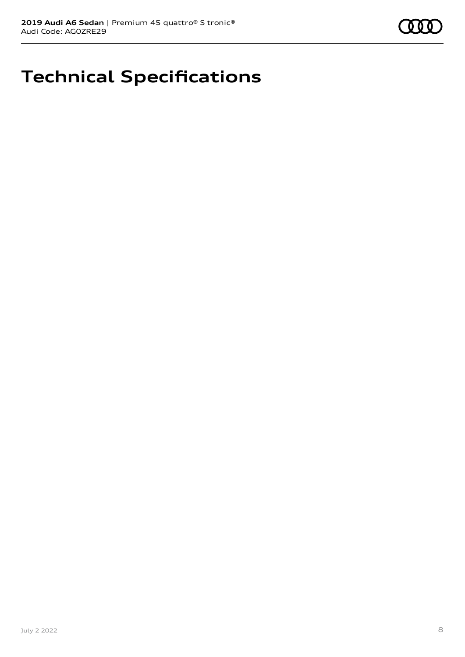# **Technical Specifications**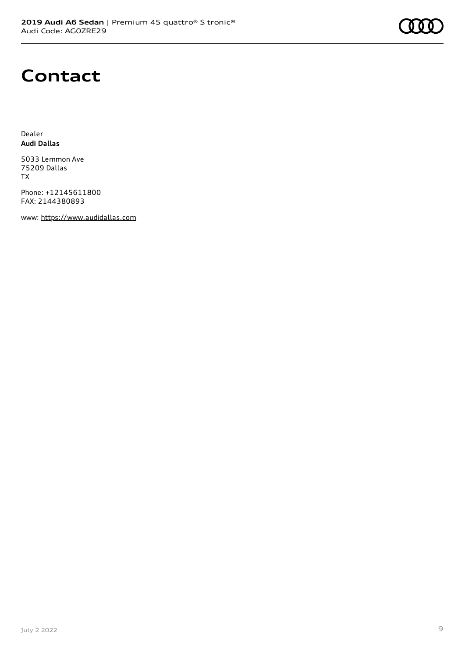

### **Contact**

Dealer **Audi Dallas**

5033 Lemmon Ave 75209 Dallas TX

Phone: +12145611800 FAX: 2144380893

www: [https://www.audidallas.com](https://www.audidallas.com/)